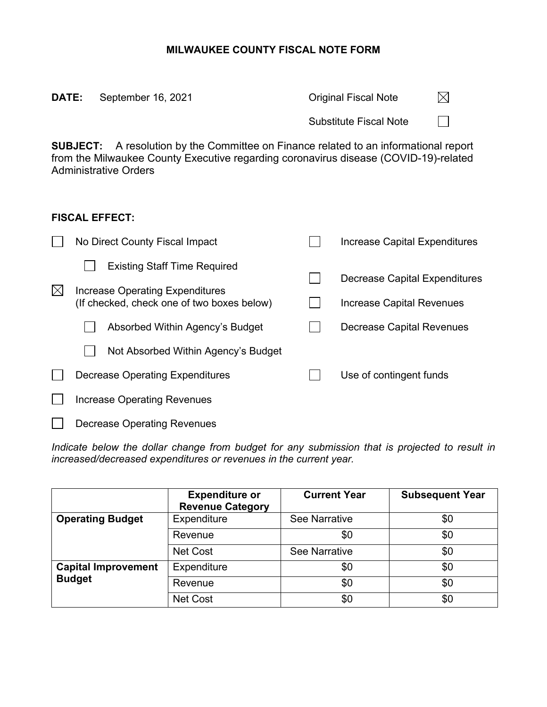## **MILWAUKEE COUNTY FISCAL NOTE FORM**

| DATE: | September 16, 2021 |  |
|-------|--------------------|--|
|       |                    |  |

**Driginal Fiscal Note** 

 $\boxtimes$ 

 $\Box$ 

**SUBJECT:** A resolution by the Committee on Finance related to an informational report from the Milwaukee County Executive regarding coronavirus disease (COVID-19)-related Administrative Orders

## **FISCAL EFFECT:**

|             | No Direct County Fiscal Impact                                                | Increase Capital Expenditures |
|-------------|-------------------------------------------------------------------------------|-------------------------------|
|             | <b>Existing Staff Time Required</b>                                           | Decrease Capital Expenditures |
| $\boxtimes$ | Increase Operating Expenditures<br>(If checked, check one of two boxes below) | Increase Capital Revenues     |
|             | Absorbed Within Agency's Budget                                               | Decrease Capital Revenues     |
|             | Not Absorbed Within Agency's Budget                                           |                               |
|             | Decrease Operating Expenditures                                               | Use of contingent funds       |
|             | Increase Operating Revenues                                                   |                               |
|             | Decrease Operating Revenues                                                   |                               |

*Indicate below the dollar change from budget for any submission that is projected to result in increased/decreased expenditures or revenues in the current year.*

|                            | <b>Expenditure or</b><br><b>Revenue Category</b> | <b>Current Year</b>  | <b>Subsequent Year</b> |
|----------------------------|--------------------------------------------------|----------------------|------------------------|
| <b>Operating Budget</b>    | Expenditure                                      | <b>See Narrative</b> | \$0                    |
|                            | Revenue                                          | \$0                  | \$0                    |
|                            | <b>Net Cost</b>                                  | <b>See Narrative</b> | \$0                    |
| <b>Capital Improvement</b> | Expenditure                                      | \$0                  | \$0                    |
| <b>Budget</b>              | Revenue                                          | \$0                  | \$0                    |
|                            | <b>Net Cost</b>                                  | \$0                  | \$0                    |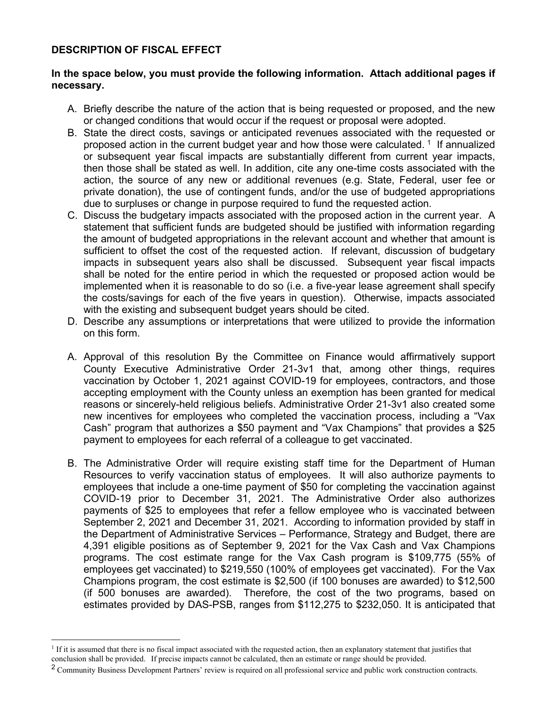## **DESCRIPTION OF FISCAL EFFECT**

## **In the space below, you must provide the following information. Attach additional pages if necessary.**

- A. Briefly describe the nature of the action that is being requested or proposed, and the new or changed conditions that would occur if the request or proposal were adopted.
- B. State the direct costs, savings or anticipated revenues associated with the requested or proposed action in the current budget year and how those were calculated. [1](#page-1-0) If annualized or subsequent year fiscal impacts are substantially different from current year impacts, then those shall be stated as well. In addition, cite any one-time costs associated with the action, the source of any new or additional revenues (e.g. State, Federal, user fee or private donation), the use of contingent funds, and/or the use of budgeted appropriations due to surpluses or change in purpose required to fund the requested action.
- C. Discuss the budgetary impacts associated with the proposed action in the current year. A statement that sufficient funds are budgeted should be justified with information regarding the amount of budgeted appropriations in the relevant account and whether that amount is sufficient to offset the cost of the requested action.If relevant, discussion of budgetary impacts in subsequent years also shall be discussed. Subsequent year fiscal impacts shall be noted for the entire period in which the requested or proposed action would be implemented when it is reasonable to do so (i.e. a five-year lease agreement shall specify the costs/savings for each of the five years in question). Otherwise, impacts associated with the existing and subsequent budget years should be cited.
- D. Describe any assumptions or interpretations that were utilized to provide the information on this form.
- A. Approval of this resolution By the Committee on Finance would affirmatively support County Executive Administrative Order 21-3v1 that, among other things, requires vaccination by October 1, 2021 against COVID-19 for employees, contractors, and those accepting employment with the County unless an exemption has been granted for medical reasons or sincerely-held religious beliefs. Administrative Order 21-3v1 also created some new incentives for employees who completed the vaccination process, including a "Vax Cash" program that authorizes a \$50 payment and "Vax Champions" that provides a \$25 payment to employees for each referral of a colleague to get vaccinated.
- B. The Administrative Order will require existing staff time for the Department of Human Resources to verify vaccination status of employees. It will also authorize payments to employees that include a one-time payment of \$50 for completing the vaccination against COVID-19 prior to December 31, 2021. The Administrative Order also authorizes payments of \$25 to employees that refer a fellow employee who is vaccinated between September 2, 2021 and December 31, 2021. According to information provided by staff in the Department of Administrative Services – Performance, Strategy and Budget, there are 4,391 eligible positions as of September 9, 2021 for the Vax Cash and Vax Champions programs. The cost estimate range for the Vax Cash program is \$109,775 (55% of employees get vaccinated) to \$219,550 (100% of employees get vaccinated). For the Vax Champions program, the cost estimate is \$2,500 (if 100 bonuses are awarded) to \$12,500 (if 500 bonuses are awarded). Therefore, the cost of the two programs, based on estimates provided by DAS-PSB, ranges from \$112,275 to \$232,050. It is anticipated that

<span id="page-1-0"></span> $<sup>1</sup>$  If it is assumed that there is no fiscal impact associated with the requested action, then an explanatory statement that justifies that</sup> conclusion shall be provided.If precise impacts cannot be calculated, then an estimate or range should be provided.

<sup>&</sup>lt;sup>2</sup> Community Business Development Partners' review is required on all professional service and public work construction contracts.